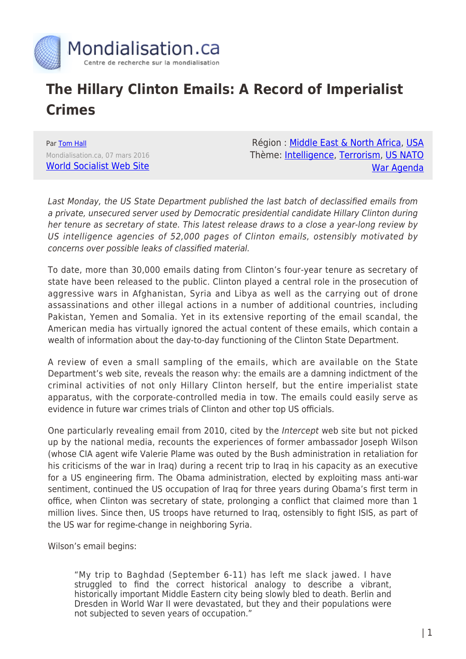

## **The Hillary Clinton Emails: A Record of Imperialist Crimes**

Par [Tom Hall](https://www.mondialisation.ca/author/tom-hall) Mondialisation.ca, 07 mars 2016 [World Socialist Web Site](http://www.wsws.org/en/articles/2016/03/07/clin-m07.html)

Région : [Middle East & North Africa,](https://www.mondialisation.ca/region/middle-east) [USA](https://www.mondialisation.ca/region/usa) Thème: [Intelligence,](https://www.mondialisation.ca/theme/intelligence) [Terrorism,](https://www.mondialisation.ca/theme/9-11-war-on-terrorism) [US NATO](https://www.mondialisation.ca/theme/us-nato-war-agenda) [War Agenda](https://www.mondialisation.ca/theme/us-nato-war-agenda)

Last Monday, the US State Department published the last batch of declassified emails from a private, unsecured server used by Democratic presidential candidate Hillary Clinton during her tenure as secretary of state. This latest release draws to a close a year-long review by US intelligence agencies of 52,000 pages of Clinton emails, ostensibly motivated by concerns over possible leaks of classified material.

To date, more than 30,000 emails dating from Clinton's four-year tenure as secretary of state have been released to the public. Clinton played a central role in the prosecution of aggressive wars in Afghanistan, Syria and Libya as well as the carrying out of drone assassinations and other illegal actions in a number of additional countries, including Pakistan, Yemen and Somalia. Yet in its extensive reporting of the email scandal, the American media has virtually ignored the actual content of these emails, which contain a wealth of information about the day-to-day functioning of the Clinton State Department.

A review of even a small sampling of the emails, which are available on the State Department's web site, reveals the reason why: the emails are a damning indictment of the criminal activities of not only Hillary Clinton herself, but the entire imperialist state apparatus, with the corporate-controlled media in tow. The emails could easily serve as evidence in future war crimes trials of Clinton and other top US officials.

One particularly revealing email from 2010, cited by the Intercept web site but not picked up by the national media, recounts the experiences of former ambassador Joseph Wilson (whose CIA agent wife Valerie Plame was outed by the Bush administration in retaliation for his criticisms of the war in Iraq) during a recent trip to Iraq in his capacity as an executive for a US engineering firm. The Obama administration, elected by exploiting mass anti-war sentiment, continued the US occupation of Iraq for three years during Obama's first term in office, when Clinton was secretary of state, prolonging a conflict that claimed more than 1 million lives. Since then, US troops have returned to Iraq, ostensibly to fight ISIS, as part of the US war for regime-change in neighboring Syria.

Wilson's email begins:

"My trip to Baghdad (September 6-11) has left me slack jawed. I have struggled to find the correct historical analogy to describe a vibrant, historically important Middle Eastern city being slowly bled to death. Berlin and Dresden in World War II were devastated, but they and their populations were not subjected to seven years of occupation."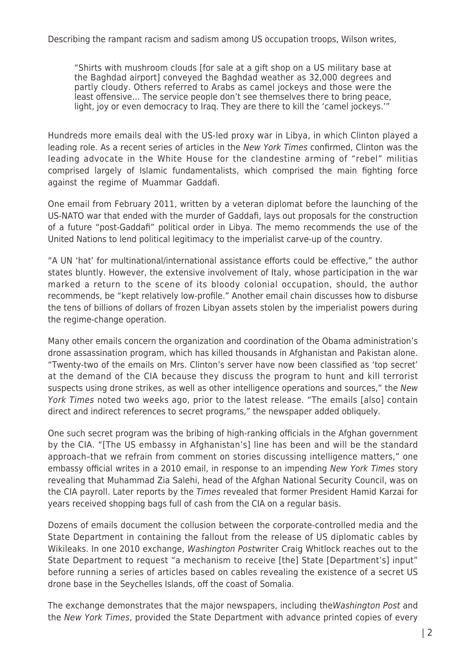Describing the rampant racism and sadism among US occupation troops, Wilson writes,

"Shirts with mushroom clouds [for sale at a gift shop on a US military base at the Baghdad airport] conveyed the Baghdad weather as 32,000 degrees and partly cloudy. Others referred to Arabs as camel jockeys and those were the least offensive… The service people don't see themselves there to bring peace, light, joy or even democracy to Iraq. They are there to kill the 'camel jockeys.'"

Hundreds more emails deal with the US-led proxy war in Libya, in which Clinton played a leading role. As a recent series of articles in the New York Times confirmed, Clinton was the leading advocate in the White House for the clandestine arming of "rebel" militias comprised largely of Islamic fundamentalists, which comprised the main fighting force against the regime of Muammar Gaddafi.

One email from February 2011, written by a veteran diplomat before the launching of the US-NATO war that ended with the murder of Gaddafi, lays out proposals for the construction of a future "post-Gaddafi" political order in Libya. The memo recommends the use of the United Nations to lend political legitimacy to the imperialist carve-up of the country.

"A UN 'hat' for multinational/international assistance efforts could be effective," the author states bluntly. However, the extensive involvement of Italy, whose participation in the war marked a return to the scene of its bloody colonial occupation, should, the author recommends, be "kept relatively low-profile." Another email chain discusses how to disburse the tens of billions of dollars of frozen Libyan assets stolen by the imperialist powers during the regime-change operation.

Many other emails concern the organization and coordination of the Obama administration's drone assassination program, which has killed thousands in Afghanistan and Pakistan alone. "Twenty-two of the emails on Mrs. Clinton's server have now been classified as 'top secret' at the demand of the CIA because they discuss the program to hunt and kill terrorist suspects using drone strikes, as well as other intelligence operations and sources," the New York Times noted two weeks ago, prior to the latest release. "The emails [also] contain direct and indirect references to secret programs," the newspaper added obliquely.

One such secret program was the bribing of high-ranking officials in the Afghan government by the CIA. "[The US embassy in Afghanistan's] line has been and will be the standard approach–that we refrain from comment on stories discussing intelligence matters," one embassy official writes in a 2010 email, in response to an impending New York Times story revealing that Muhammad Zia Salehi, head of the Afghan National Security Council, was on the CIA payroll. Later reports by the Times revealed that former President Hamid Karzai for years received shopping bags full of cash from the CIA on a regular basis.

Dozens of emails document the collusion between the corporate-controlled media and the State Department in containing the fallout from the release of US diplomatic cables by Wikileaks. In one 2010 exchange, Washington Postwriter Craig Whitlock reaches out to the State Department to request "a mechanism to receive [the] State [Department's] input" before running a series of articles based on cables revealing the existence of a secret US drone base in the Seychelles Islands, off the coast of Somalia.

The exchange demonstrates that the major newspapers, including theWashington Post and the New York Times, provided the State Department with advance printed copies of every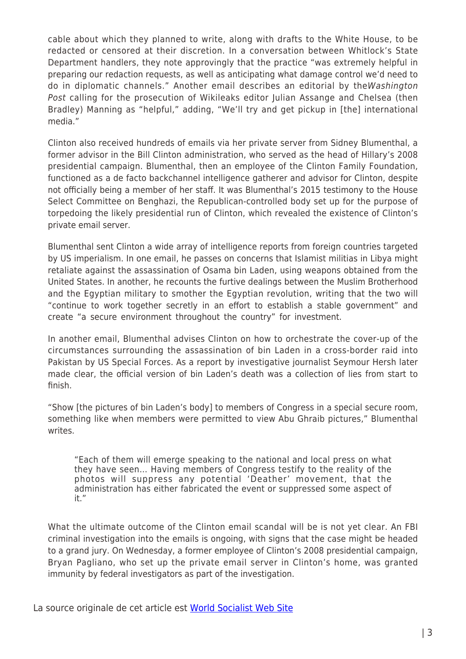cable about which they planned to write, along with drafts to the White House, to be redacted or censored at their discretion. In a conversation between Whitlock's State Department handlers, they note approvingly that the practice "was extremely helpful in preparing our redaction requests, as well as anticipating what damage control we'd need to do in diplomatic channels." Another email describes an editorial by theWashington Post calling for the prosecution of Wikileaks editor Julian Assange and Chelsea (then Bradley) Manning as "helpful," adding, "We'll try and get pickup in [the] international media."

Clinton also received hundreds of emails via her private server from Sidney Blumenthal, a former advisor in the Bill Clinton administration, who served as the head of Hillary's 2008 presidential campaign. Blumenthal, then an employee of the Clinton Family Foundation, functioned as a de facto backchannel intelligence gatherer and advisor for Clinton, despite not officially being a member of her staff. It was Blumenthal's 2015 testimony to the House Select Committee on Benghazi, the Republican-controlled body set up for the purpose of torpedoing the likely presidential run of Clinton, which revealed the existence of Clinton's private email server.

Blumenthal sent Clinton a wide array of intelligence reports from foreign countries targeted by US imperialism. In one email, he passes on concerns that Islamist militias in Libya might retaliate against the assassination of Osama bin Laden, using weapons obtained from the United States. In another, he recounts the furtive dealings between the Muslim Brotherhood and the Egyptian military to smother the Egyptian revolution, writing that the two will "continue to work together secretly in an effort to establish a stable government" and create "a secure environment throughout the country" for investment.

In another email, Blumenthal advises Clinton on how to orchestrate the cover-up of the circumstances surrounding the assassination of bin Laden in a cross-border raid into Pakistan by US Special Forces. As a report by investigative journalist Seymour Hersh later made clear, the official version of bin Laden's death was a collection of lies from start to finish.

"Show [the pictures of bin Laden's body] to members of Congress in a special secure room, something like when members were permitted to view Abu Ghraib pictures," Blumenthal writes.

"Each of them will emerge speaking to the national and local press on what they have seen… Having members of Congress testify to the reality of the photos will suppress any potential 'Deather' movement, that the administration has either fabricated the event or suppressed some aspect of it."

What the ultimate outcome of the Clinton email scandal will be is not yet clear. An FBI criminal investigation into the emails is ongoing, with signs that the case might be headed to a grand jury. On Wednesday, a former employee of Clinton's 2008 presidential campaign, Bryan Pagliano, who set up the private email server in Clinton's home, was granted immunity by federal investigators as part of the investigation.

La source originale de cet article est [World Socialist Web Site](http://www.wsws.org/en/articles/2016/03/07/clin-m07.html)